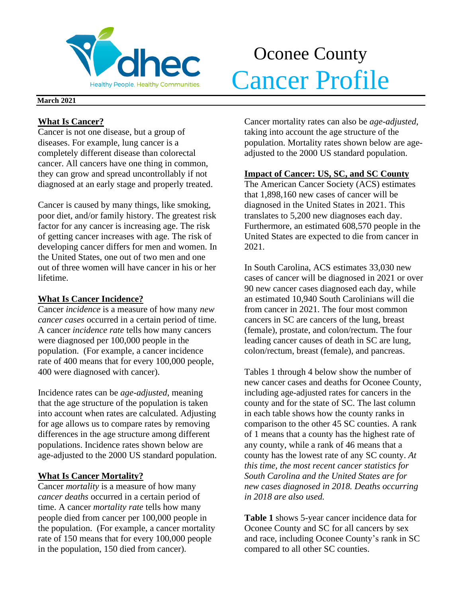

## Oconee County Merchandelphe Realthy Communities. Cancer Profile

#### **March 2021**

## **What Is Cancer?**

Cancer is not one disease, but a group of diseases. For example, lung cancer is a completely different disease than colorectal cancer. All cancers have one thing in common, they can grow and spread uncontrollably if not diagnosed at an early stage and properly treated.

Cancer is caused by many things, like smoking, poor diet, and/or family history. The greatest risk factor for any cancer is increasing age. The risk of getting cancer increases with age. The risk of developing cancer differs for men and women. In the United States, one out of two men and one out of three women will have cancer in his or her lifetime.

## **What Is Cancer Incidence?**

Cancer *incidence* is a measure of how many *new cancer cases* occurred in a certain period of time. A cancer *incidence rate* tells how many cancers were diagnosed per 100,000 people in the population. (For example, a cancer incidence rate of 400 means that for every 100,000 people, 400 were diagnosed with cancer).

Incidence rates can be *age-adjusted*, meaning that the age structure of the population is taken into account when rates are calculated. Adjusting for age allows us to compare rates by removing differences in the age structure among different populations. Incidence rates shown below are age-adjusted to the 2000 US standard population.

## **What Is Cancer Mortality?**

Cancer *mortality* is a measure of how many *cancer deaths* occurred in a certain period of time. A cancer *mortality rate* tells how many people died from cancer per 100,000 people in the population. (For example, a cancer mortality rate of 150 means that for every 100,000 people in the population, 150 died from cancer).

Cancer mortality rates can also be *age-adjusted*, taking into account the age structure of the population. Mortality rates shown below are ageadjusted to the 2000 US standard population.

## **Impact of Cancer: US, SC, and SC County**

The American Cancer Society (ACS) estimates that 1,898,160 new cases of cancer will be diagnosed in the United States in 2021. This translates to 5,200 new diagnoses each day. Furthermore, an estimated 608,570 people in the United States are expected to die from cancer in 2021.

In South Carolina, ACS estimates 33,030 new cases of cancer will be diagnosed in 2021 or over 90 new cancer cases diagnosed each day, while an estimated 10,940 South Carolinians will die from cancer in 2021. The four most common cancers in SC are cancers of the lung, breast (female), prostate, and colon/rectum. The four leading cancer causes of death in SC are lung, colon/rectum, breast (female), and pancreas.

Tables 1 through 4 below show the number of new cancer cases and deaths for Oconee County, including age-adjusted rates for cancers in the county and for the state of SC. The last column in each table shows how the county ranks in comparison to the other 45 SC counties. A rank of 1 means that a county has the highest rate of any county, while a rank of 46 means that a county has the lowest rate of any SC county. *At this time, the most recent cancer statistics for South Carolina and the United States are for new cases diagnosed in 2018. Deaths occurring in 2018 are also used.*

**Table 1** shows 5-year cancer incidence data for Oconee County and SC for all cancers by sex and race, including Oconee County's rank in SC compared to all other SC counties.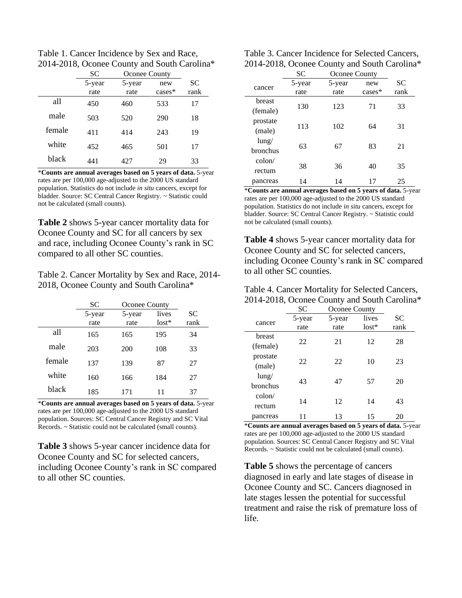Table 1. Cancer Incidence by Sex and Race, 2014-2018, Oconee County and South Carolina\*

|        | <b>SC</b> | <b>Oconee County</b> |           |           |  |
|--------|-----------|----------------------|-----------|-----------|--|
|        | 5-year    | 5-year               | new       | <b>SC</b> |  |
|        | rate      | rate                 | $cases^*$ | rank      |  |
| all    | 450       | 460                  | 533       | 17        |  |
| male   | 503       | 520                  | 290       | 18        |  |
| female | 411       | 414                  | 243       | 19        |  |
| white  | 452       | 465                  | 501       | 17        |  |
| black  | 441       | 427                  | 29        | 33        |  |

\***Counts are annual averages based on 5 years of data.** 5-year rates are per 100,000 age-adjusted to the 2000 US standard population. Statistics do not include *in situ* cancers, except for bladder. Source: SC Central Cancer Registry. ~ Statistic could not be calculated (small counts).

**Table 2** shows 5-year cancer mortality data for Oconee County and SC for all cancers by sex and race, including Oconee County's rank in SC compared to all other SC counties.

Table 2. Cancer Mortality by Sex and Race, 2014- 2018, Oconee County and South Carolina\*

|        | SC             | <b>Oconee County</b> |                  |            |
|--------|----------------|----------------------|------------------|------------|
|        | 5-year<br>rate | 5-year<br>rate       | lives<br>$lost*$ | SС<br>rank |
| all    | 165            | 165                  | 195              | 34         |
| male   | 203            | 200                  | 108              | 33         |
| female | 137            | 139                  | 87               | 27         |
| white  | 160            | 166                  | 184              | 27         |
| black  | 185            | 171                  | 11               | 37         |

\***Counts are annual averages based on 5 years of data.** 5-year rates are per 100,000 age-adjusted to the 2000 US standard population. Sources: SC Central Cancer Registry and SC Vital Records. ~ Statistic could not be calculated (small counts).

**Table 3** shows 5-year cancer incidence data for Oconee County and SC for selected cancers, including Oconee County's rank in SC compared to all other SC counties.

| Table 3. Cancer Incidence for Selected Cancers, |
|-------------------------------------------------|
| 2014-2018, Oconee County and South Carolina*    |

|                           | SC             | <b>Oconee County</b> |                 |            |  |
|---------------------------|----------------|----------------------|-----------------|------------|--|
| cancer                    | 5-year<br>rate | 5-year<br>rate       | new<br>$cases*$ | SC<br>rank |  |
| <b>breast</b><br>(female) | 130            | 123                  | 71              | 33         |  |
| prostate<br>(male)        | 113            | 102                  | 64              | 31         |  |
| $l$ ung/<br>bronchus      | 63             | 67                   | 83              | 21         |  |
| $\text{colon}/$<br>rectum | 38             | 36                   | 40              | 35         |  |
| pancreas                  | 14             | 14                   | 17              | 25         |  |

\***Counts are annual averages based on 5 years of data.** 5-year rates are per 100,000 age-adjusted to the 2000 US standard population. Statistics do not include *in situ* cancers, except for bladder. Source: SC Central Cancer Registry. ~ Statistic could not be calculated (small counts).

**Table 4** shows 5-year cancer mortality data for Oconee County and SC for selected cancers, including Oconee County's rank in SC compared to all other SC counties.

| Table 4. Cancer Mortality for Selected Cancers, |  |
|-------------------------------------------------|--|
| 2014-2018, Oconee County and South Carolina*    |  |

|                 | SC     | <b>Oconee County</b> |         |      |
|-----------------|--------|----------------------|---------|------|
| cancer          | 5-year | 5-year               | lives   | SС   |
|                 | rate   | rate                 | $lost*$ | rank |
| breast          |        |                      |         |      |
| (female)        | 22     | 21                   | 12      | 28   |
| prostate        |        |                      |         |      |
| (male)          | 22     | 22                   | 10      | 23   |
| $l$ ung/        |        |                      |         |      |
| <b>bronchus</b> | 43     | 47                   | 57      | 20   |
| $\text{colon}/$ |        |                      |         |      |
| rectum          | 14     | 12                   | 14      | 43   |
| pancreas        |        | 13                   | 15      | 20   |

\***Counts are annual averages based on 5 years of data.** 5-year rates are per 100,000 age-adjusted to the 2000 US standard population. Sources: SC Central Cancer Registry and SC Vital Records. ~ Statistic could not be calculated (small counts).

**Table 5** shows the percentage of cancers diagnosed in early and late stages of disease in Oconee County and SC. Cancers diagnosed in late stages lessen the potential for successful treatment and raise the risk of premature loss of life.